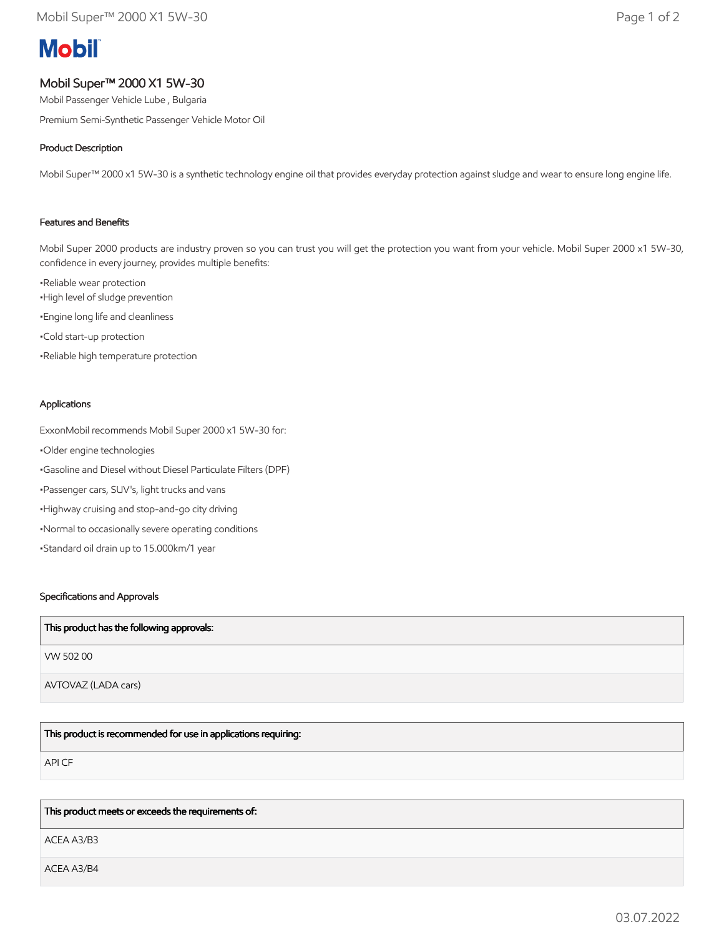# **Mobil**

# Mobil Super™ 2000 X1 5W-30

Mobil Passenger Vehicle Lube , Bulgaria

Premium Semi-Synthetic Passenger Vehicle Motor Oil

## Product Description

Mobil Super™ 2000 x1 5W-30 is a synthetic technology engine oil that provides everyday protection against sludge and wear to ensure long engine life.

## Features and Benefits

Mobil Super 2000 products are industry proven so you can trust you will get the protection you want from your vehicle. Mobil Super 2000 x1 5W-30, confidence in every journey, provides multiple benefits:

•Reliable wear protection •High level of sludge prevention •Engine long life and cleanliness •Cold start-up protection •Reliable high temperature protection

#### Applications

ExxonMobil recommends Mobil Super 2000 x1 5W-30 for: •Older engine technologies •Gasoline and Diesel without Diesel Particulate Filters (DPF) •Passenger cars, SUV's, light trucks and vans •Highway cruising and stop-and-go city driving •Normal to occasionally severe operating conditions •Standard oil drain up to 15.000km/1 year

#### Specifications and Approvals

| This product has the following approvals: |
|-------------------------------------------|
| VW 50200                                  |
| AVTOVAZ (LADA cars)                       |

This product is recommended for use in applications requiring:

API CF

#### This product meets or exceeds the requirements of:

ACEA A3/B3

ACEA A3/B4